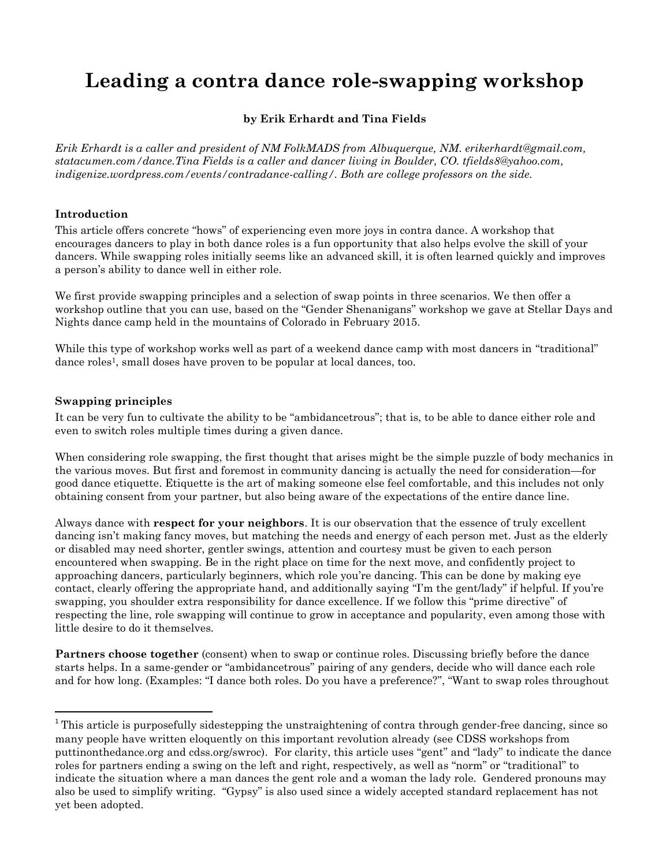# **Leading a contra dance role-swapping workshop**

# **by Erik Erhardt and Tina Fields**

*Erik Erhardt is a caller and president of NM FolkMADS from Albuquerque, NM. erikerhardt@gmail.com, statacumen.com/dance.Tina Fields is a caller and dancer living in Boulder, CO. tfields8@yahoo.com, indigenize.wordpress.com/events/contradance-calling/. Both are college professors on the side.*

# **Introduction**

This article offers concrete "hows" of experiencing even more joys in contra dance. A workshop that encourages dancers to play in both dance roles is a fun opportunity that also helps evolve the skill of your dancers. While swapping roles initially seems like an advanced skill, it is often learned quickly and improves a person's ability to dance well in either role.

We first provide swapping principles and a selection of swap points in three scenarios. We then offer a workshop outline that you can use, based on the "Gender Shenanigans" workshop we gave at Stellar Days and Nights dance camp held in the mountains of Colorado in February 2015.

While this type of workshop works well as part of a weekend dance camp with most dancers in "traditional" dance roles<sup>1</sup>, small doses have proven to be popular at local dances, too.

#### **Swapping principles**

 $\overline{a}$ 

It can be very fun to cultivate the ability to be "ambidancetrous"; that is, to be able to dance either role and even to switch roles multiple times during a given dance.

When considering role swapping, the first thought that arises might be the simple puzzle of body mechanics in the various moves. But first and foremost in community dancing is actually the need for consideration—for good dance etiquette. Etiquette is the art of making someone else feel comfortable, and this includes not only obtaining consent from your partner, but also being aware of the expectations of the entire dance line.

Always dance with **respect for your neighbors**. It is our observation that the essence of truly excellent dancing isn't making fancy moves, but matching the needs and energy of each person met. Just as the elderly or disabled may need shorter, gentler swings, attention and courtesy must be given to each person encountered when swapping. Be in the right place on time for the next move, and confidently project to approaching dancers, particularly beginners, which role you're dancing. This can be done by making eye contact, clearly offering the appropriate hand, and additionally saying "I'm the gent/lady" if helpful. If you're swapping, you shoulder extra responsibility for dance excellence. If we follow this "prime directive" of respecting the line, role swapping will continue to grow in acceptance and popularity, even among those with little desire to do it themselves.

**Partners choose together** (consent) when to swap or continue roles. Discussing briefly before the dance starts helps. In a same-gender or "ambidancetrous" pairing of any genders, decide who will dance each role and for how long. (Examples: "I dance both roles. Do you have a preference?", "Want to swap roles throughout

<sup>&</sup>lt;sup>1</sup> This article is purposefully sidestepping the unstraightening of contra through gender-free dancing, since so many people have written eloquently on this important revolution already (see CDSS workshops from puttinonthedance.org and cdss.org/swroc). For clarity, this article uses "gent" and "lady" to indicate the dance roles for partners ending a swing on the left and right, respectively, as well as "norm" or "traditional" to indicate the situation where a man dances the gent role and a woman the lady role. Gendered pronouns may also be used to simplify writing. "Gypsy" is also used since a widely accepted standard replacement has not yet been adopted.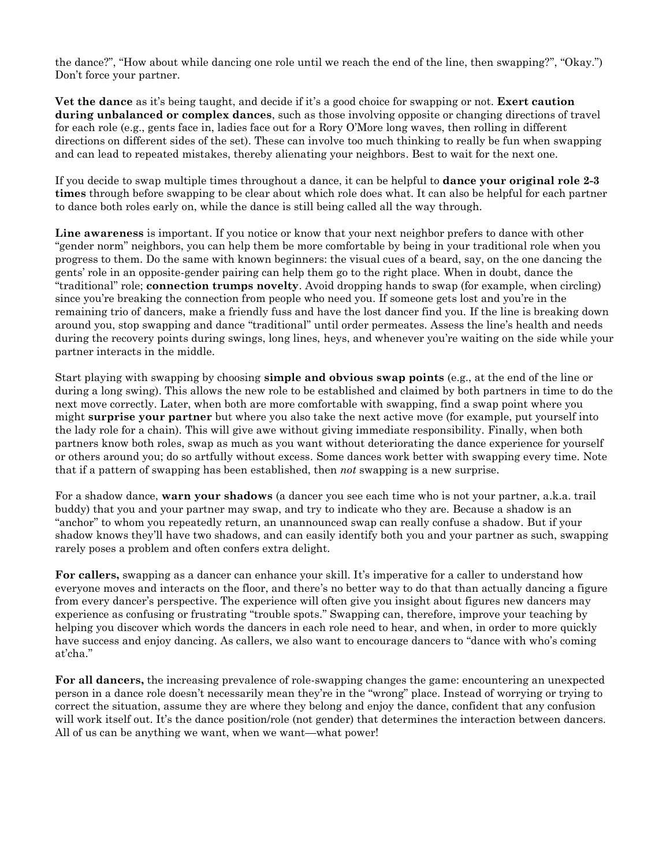the dance?", "How about while dancing one role until we reach the end of the line, then swapping?", "Okay.") Don't force your partner.

**Vet the dance** as it's being taught, and decide if it's a good choice for swapping or not. **Exert caution during unbalanced or complex dances**, such as those involving opposite or changing directions of travel for each role (e.g., gents face in, ladies face out for a Rory O'More long waves, then rolling in different directions on different sides of the set). These can involve too much thinking to really be fun when swapping and can lead to repeated mistakes, thereby alienating your neighbors. Best to wait for the next one.

If you decide to swap multiple times throughout a dance, it can be helpful to **dance your original role 2-3 times** through before swapping to be clear about which role does what. It can also be helpful for each partner to dance both roles early on, while the dance is still being called all the way through.

**Line awareness** is important. If you notice or know that your next neighbor prefers to dance with other "gender norm" neighbors, you can help them be more comfortable by being in your traditional role when you progress to them. Do the same with known beginners: the visual cues of a beard, say, on the one dancing the gents' role in an opposite-gender pairing can help them go to the right place. When in doubt, dance the "traditional" role; **connection trumps novelty**. Avoid dropping hands to swap (for example, when circling) since you're breaking the connection from people who need you. If someone gets lost and you're in the remaining trio of dancers, make a friendly fuss and have the lost dancer find you. If the line is breaking down around you, stop swapping and dance "traditional" until order permeates. Assess the line's health and needs during the recovery points during swings, long lines, heys, and whenever you're waiting on the side while your partner interacts in the middle.

Start playing with swapping by choosing **simple and obvious swap points** (e.g., at the end of the line or during a long swing). This allows the new role to be established and claimed by both partners in time to do the next move correctly. Later, when both are more comfortable with swapping, find a swap point where you might **surprise your partner** but where you also take the next active move (for example, put yourself into the lady role for a chain). This will give awe without giving immediate responsibility. Finally, when both partners know both roles, swap as much as you want without deteriorating the dance experience for yourself or others around you; do so artfully without excess. Some dances work better with swapping every time. Note that if a pattern of swapping has been established, then *not* swapping is a new surprise.

For a shadow dance, **warn your shadows** (a dancer you see each time who is not your partner, a.k.a. trail buddy) that you and your partner may swap, and try to indicate who they are. Because a shadow is an "anchor" to whom you repeatedly return, an unannounced swap can really confuse a shadow. But if your shadow knows they'll have two shadows, and can easily identify both you and your partner as such, swapping rarely poses a problem and often confers extra delight.

**For callers,** swapping as a dancer can enhance your skill. It's imperative for a caller to understand how everyone moves and interacts on the floor, and there's no better way to do that than actually dancing a figure from every dancer's perspective. The experience will often give you insight about figures new dancers may experience as confusing or frustrating "trouble spots." Swapping can, therefore, improve your teaching by helping you discover which words the dancers in each role need to hear, and when, in order to more quickly have success and enjoy dancing. As callers, we also want to encourage dancers to "dance with who's coming at'cha."

**For all dancers,** the increasing prevalence of role-swapping changes the game: encountering an unexpected person in a dance role doesn't necessarily mean they're in the "wrong" place. Instead of worrying or trying to correct the situation, assume they are where they belong and enjoy the dance, confident that any confusion will work itself out. It's the dance position/role (not gender) that determines the interaction between dancers. All of us can be anything we want, when we want—what power!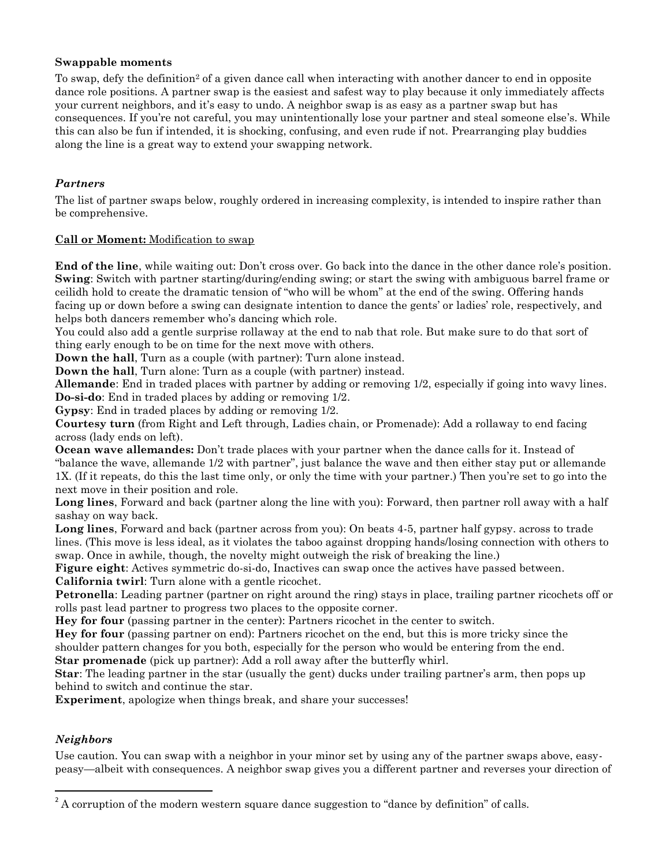#### **Swappable moments**

To swap, defy the definition<sup>2</sup> of a given dance call when interacting with another dancer to end in opposite dance role positions. A partner swap is the easiest and safest way to play because it only immediately affects your current neighbors, and it's easy to undo. A neighbor swap is as easy as a partner swap but has consequences. If you're not careful, you may unintentionally lose your partner and steal someone else's. While this can also be fun if intended, it is shocking, confusing, and even rude if not. Prearranging play buddies along the line is a great way to extend your swapping network.

# *Partners*

The list of partner swaps below, roughly ordered in increasing complexity, is intended to inspire rather than be comprehensive.

#### **Call or Moment:** Modification to swap

**End of the line**, while waiting out: Don't cross over. Go back into the dance in the other dance role's position. **Swing**: Switch with partner starting/during/ending swing; or start the swing with ambiguous barrel frame or ceilidh hold to create the dramatic tension of "who will be whom" at the end of the swing. Offering hands facing up or down before a swing can designate intention to dance the gents' or ladies' role, respectively, and helps both dancers remember who's dancing which role.

You could also add a gentle surprise rollaway at the end to nab that role. But make sure to do that sort of thing early enough to be on time for the next move with others.

**Down the hall**, Turn as a couple (with partner): Turn alone instead.

**Down the hall**, Turn alone: Turn as a couple (with partner) instead.

**Allemande**: End in traded places with partner by adding or removing 1/2, especially if going into wavy lines. **Do-si-do**: End in traded places by adding or removing 1/2.

**Gypsy**: End in traded places by adding or removing 1/2.

**Courtesy turn** (from Right and Left through, Ladies chain, or Promenade): Add a rollaway to end facing across (lady ends on left).

**Ocean wave allemandes:** Don't trade places with your partner when the dance calls for it. Instead of "balance the wave, allemande 1/2 with partner", just balance the wave and then either stay put or allemande 1X. (If it repeats, do this the last time only, or only the time with your partner.) Then you're set to go into the next move in their position and role.

**Long lines**, Forward and back (partner along the line with you): Forward, then partner roll away with a half sashay on way back.

**Long lines**, Forward and back (partner across from you): On beats 4-5, partner half gypsy. across to trade lines. (This move is less ideal, as it violates the taboo against dropping hands/losing connection with others to swap. Once in awhile, though, the novelty might outweigh the risk of breaking the line.)

**Figure eight**: Actives symmetric do-si-do, Inactives can swap once the actives have passed between. **California twirl**: Turn alone with a gentle ricochet.

**Petronella**: Leading partner (partner on right around the ring) stays in place, trailing partner ricochets off or rolls past lead partner to progress two places to the opposite corner.

**Hey for four** (passing partner in the center): Partners ricochet in the center to switch.

**Hey for four** (passing partner on end): Partners ricochet on the end, but this is more tricky since the shoulder pattern changes for you both, especially for the person who would be entering from the end. **Star promenade** (pick up partner): Add a roll away after the butterfly whirl.

**Star**: The leading partner in the star (usually the gent) ducks under trailing partner's arm, then pops up behind to switch and continue the star.

**Experiment**, apologize when things break, and share your successes!

# *Neighbors*

 $\overline{a}$ 

Use caution. You can swap with a neighbor in your minor set by using any of the partner swaps above, easypeasy—albeit with consequences. A neighbor swap gives you a different partner and reverses your direction of

 $2A$  corruption of the modern western square dance suggestion to "dance by definition" of calls.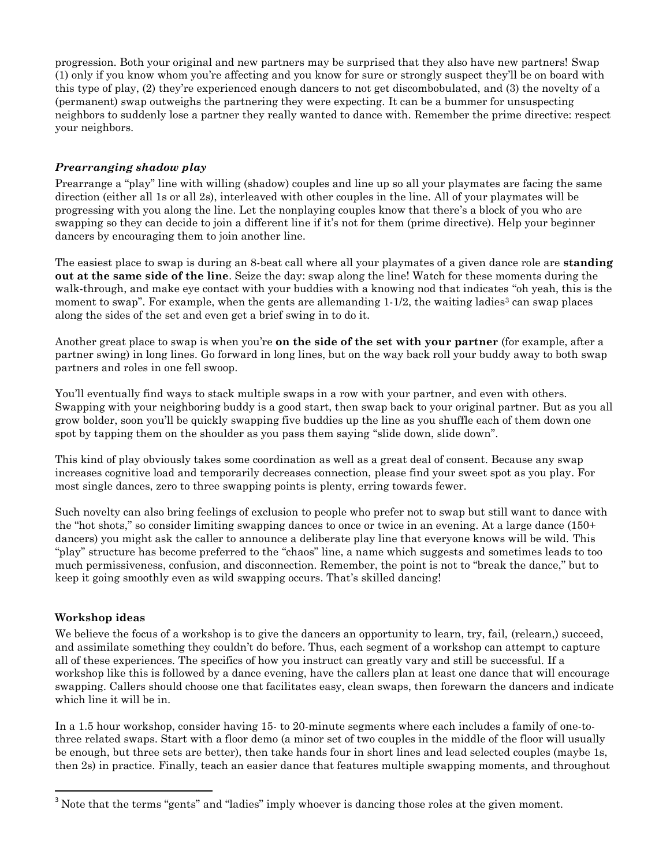progression. Both your original and new partners may be surprised that they also have new partners! Swap (1) only if you know whom you're affecting and you know for sure or strongly suspect they'll be on board with this type of play, (2) they're experienced enough dancers to not get discombobulated, and (3) the novelty of a (permanent) swap outweighs the partnering they were expecting. It can be a bummer for unsuspecting neighbors to suddenly lose a partner they really wanted to dance with. Remember the prime directive: respect your neighbors.

# *Prearranging shadow play*

Prearrange a "play" line with willing (shadow) couples and line up so all your playmates are facing the same direction (either all 1s or all 2s), interleaved with other couples in the line. All of your playmates will be progressing with you along the line. Let the nonplaying couples know that there's a block of you who are swapping so they can decide to join a different line if it's not for them (prime directive). Help your beginner dancers by encouraging them to join another line.

The easiest place to swap is during an 8-beat call where all your playmates of a given dance role are **standing out at the same side of the line**. Seize the day: swap along the line! Watch for these moments during the walk-through, and make eye contact with your buddies with a knowing nod that indicates "oh yeah, this is the moment to swap". For example, when the gents are allemanding  $1-1/2$ , the waiting ladies<sup>3</sup> can swap places along the sides of the set and even get a brief swing in to do it.

Another great place to swap is when you're **on the side of the set with your partner** (for example, after a partner swing) in long lines. Go forward in long lines, but on the way back roll your buddy away to both swap partners and roles in one fell swoop.

You'll eventually find ways to stack multiple swaps in a row with your partner, and even with others. Swapping with your neighboring buddy is a good start, then swap back to your original partner. But as you all grow bolder, soon you'll be quickly swapping five buddies up the line as you shuffle each of them down one spot by tapping them on the shoulder as you pass them saying "slide down, slide down".

This kind of play obviously takes some coordination as well as a great deal of consent. Because any swap increases cognitive load and temporarily decreases connection, please find your sweet spot as you play. For most single dances, zero to three swapping points is plenty, erring towards fewer.

Such novelty can also bring feelings of exclusion to people who prefer not to swap but still want to dance with the "hot shots," so consider limiting swapping dances to once or twice in an evening. At a large dance (150+ dancers) you might ask the caller to announce a deliberate play line that everyone knows will be wild. This "play" structure has become preferred to the "chaos" line, a name which suggests and sometimes leads to too much permissiveness, confusion, and disconnection. Remember, the point is not to "break the dance," but to keep it going smoothly even as wild swapping occurs. That's skilled dancing!

# **Workshop ideas**

 $\overline{a}$ 

We believe the focus of a workshop is to give the dancers an opportunity to learn, try, fail, (relearn,) succeed, and assimilate something they couldn't do before. Thus, each segment of a workshop can attempt to capture all of these experiences. The specifics of how you instruct can greatly vary and still be successful. If a workshop like this is followed by a dance evening, have the callers plan at least one dance that will encourage swapping. Callers should choose one that facilitates easy, clean swaps, then forewarn the dancers and indicate which line it will be in.

In a 1.5 hour workshop, consider having 15- to 20-minute segments where each includes a family of one-tothree related swaps. Start with a floor demo (a minor set of two couples in the middle of the floor will usually be enough, but three sets are better), then take hands four in short lines and lead selected couples (maybe 1s, then 2s) in practice. Finally, teach an easier dance that features multiple swapping moments, and throughout

<sup>&</sup>lt;sup>3</sup> Note that the terms "gents" and "ladies" imply whoever is dancing those roles at the given moment.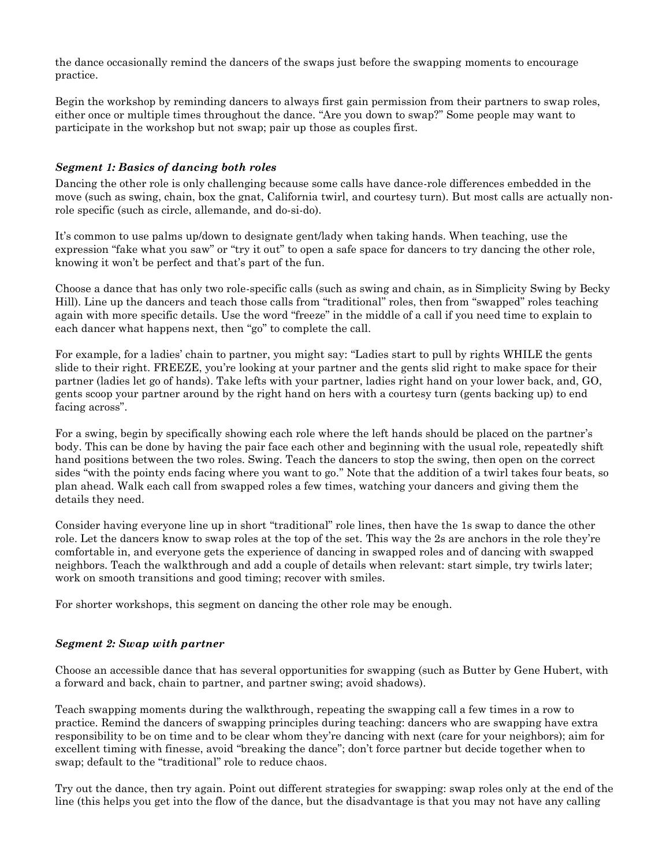the dance occasionally remind the dancers of the swaps just before the swapping moments to encourage practice.

Begin the workshop by reminding dancers to always first gain permission from their partners to swap roles, either once or multiple times throughout the dance. "Are you down to swap?" Some people may want to participate in the workshop but not swap; pair up those as couples first.

### *Segment 1: Basics of dancing both roles*

Dancing the other role is only challenging because some calls have dance-role differences embedded in the move (such as swing, chain, box the gnat, California twirl, and courtesy turn). But most calls are actually nonrole specific (such as circle, allemande, and do-si-do).

It's common to use palms up/down to designate gent/lady when taking hands. When teaching, use the expression "fake what you saw" or "try it out" to open a safe space for dancers to try dancing the other role, knowing it won't be perfect and that's part of the fun.

Choose a dance that has only two role-specific calls (such as swing and chain, as in Simplicity Swing by Becky Hill). Line up the dancers and teach those calls from "traditional" roles, then from "swapped" roles teaching again with more specific details. Use the word "freeze" in the middle of a call if you need time to explain to each dancer what happens next, then "go" to complete the call.

For example, for a ladies' chain to partner, you might say: "Ladies start to pull by rights WHILE the gents slide to their right. FREEZE, you're looking at your partner and the gents slid right to make space for their partner (ladies let go of hands). Take lefts with your partner, ladies right hand on your lower back, and, GO, gents scoop your partner around by the right hand on hers with a courtesy turn (gents backing up) to end facing across".

For a swing, begin by specifically showing each role where the left hands should be placed on the partner's body. This can be done by having the pair face each other and beginning with the usual role, repeatedly shift hand positions between the two roles. Swing. Teach the dancers to stop the swing, then open on the correct sides "with the pointy ends facing where you want to go." Note that the addition of a twirl takes four beats, so plan ahead. Walk each call from swapped roles a few times, watching your dancers and giving them the details they need.

Consider having everyone line up in short "traditional" role lines, then have the 1s swap to dance the other role. Let the dancers know to swap roles at the top of the set. This way the 2s are anchors in the role they're comfortable in, and everyone gets the experience of dancing in swapped roles and of dancing with swapped neighbors. Teach the walkthrough and add a couple of details when relevant: start simple, try twirls later; work on smooth transitions and good timing; recover with smiles.

For shorter workshops, this segment on dancing the other role may be enough.

#### *Segment 2: Swap with partner*

Choose an accessible dance that has several opportunities for swapping (such as Butter by Gene Hubert, with a forward and back, chain to partner, and partner swing; avoid shadows).

Teach swapping moments during the walkthrough, repeating the swapping call a few times in a row to practice. Remind the dancers of swapping principles during teaching: dancers who are swapping have extra responsibility to be on time and to be clear whom they're dancing with next (care for your neighbors); aim for excellent timing with finesse, avoid "breaking the dance"; don't force partner but decide together when to swap; default to the "traditional" role to reduce chaos.

Try out the dance, then try again. Point out different strategies for swapping: swap roles only at the end of the line (this helps you get into the flow of the dance, but the disadvantage is that you may not have any calling